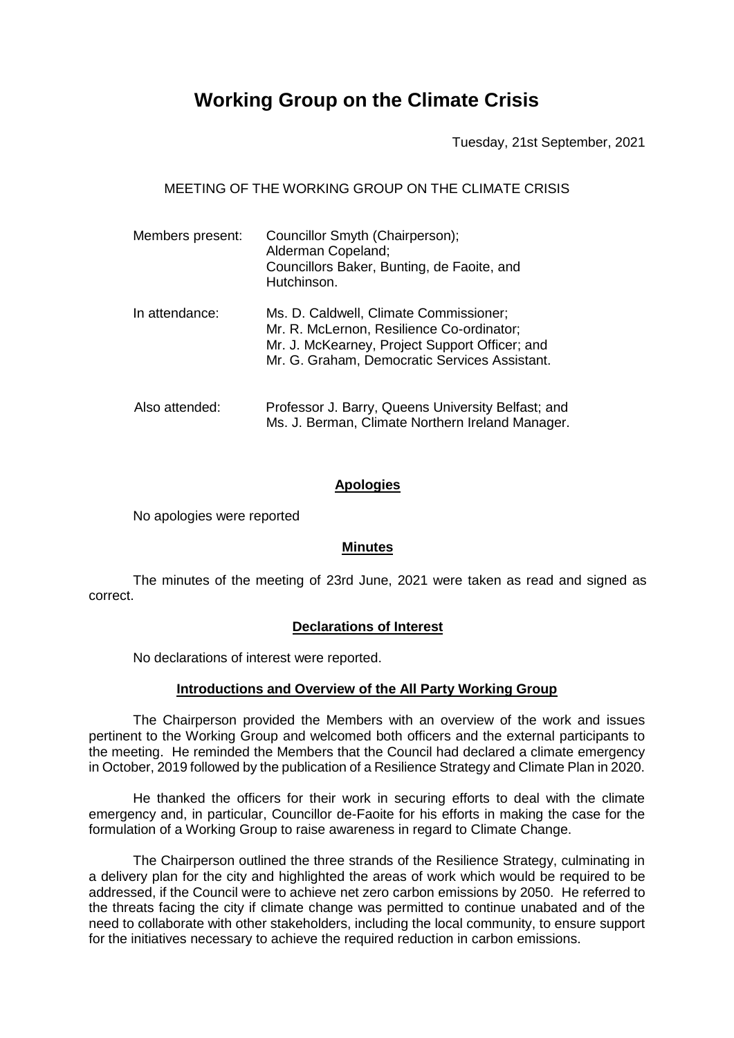# **Working Group on the Climate Crisis**

Tuesday, 21st September, 2021

MEETING OF THE WORKING GROUP ON THE CLIMATE CRISIS

| Members present: | Councillor Smyth (Chairperson);<br>Alderman Copeland;<br>Councillors Baker, Bunting, de Faoite, and<br>Hutchinson.                                                                     |
|------------------|----------------------------------------------------------------------------------------------------------------------------------------------------------------------------------------|
| In attendance:   | Ms. D. Caldwell, Climate Commissioner;<br>Mr. R. McLernon, Resilience Co-ordinator;<br>Mr. J. McKearney, Project Support Officer; and<br>Mr. G. Graham, Democratic Services Assistant. |
| Also attended:   | Professor J. Barry, Queens University Belfast; and<br>Ms. J. Berman, Climate Northern Ireland Manager.                                                                                 |

#### **Apologies**

No apologies were reported

### **Minutes**

The minutes of the meeting of 23rd June, 2021 were taken as read and signed as correct.

### **Declarations of Interest**

No declarations of interest were reported.

### **Introductions and Overview of the All Party Working Group**

The Chairperson provided the Members with an overview of the work and issues pertinent to the Working Group and welcomed both officers and the external participants to the meeting. He reminded the Members that the Council had declared a climate emergency in October, 2019 followed by the publication of a Resilience Strategy and Climate Plan in 2020.

He thanked the officers for their work in securing efforts to deal with the climate emergency and, in particular, Councillor de-Faoite for his efforts in making the case for the formulation of a Working Group to raise awareness in regard to Climate Change.

The Chairperson outlined the three strands of the Resilience Strategy, culminating in a delivery plan for the city and highlighted the areas of work which would be required to be addressed, if the Council were to achieve net zero carbon emissions by 2050. He referred to the threats facing the city if climate change was permitted to continue unabated and of the need to collaborate with other stakeholders, including the local community, to ensure support for the initiatives necessary to achieve the required reduction in carbon emissions.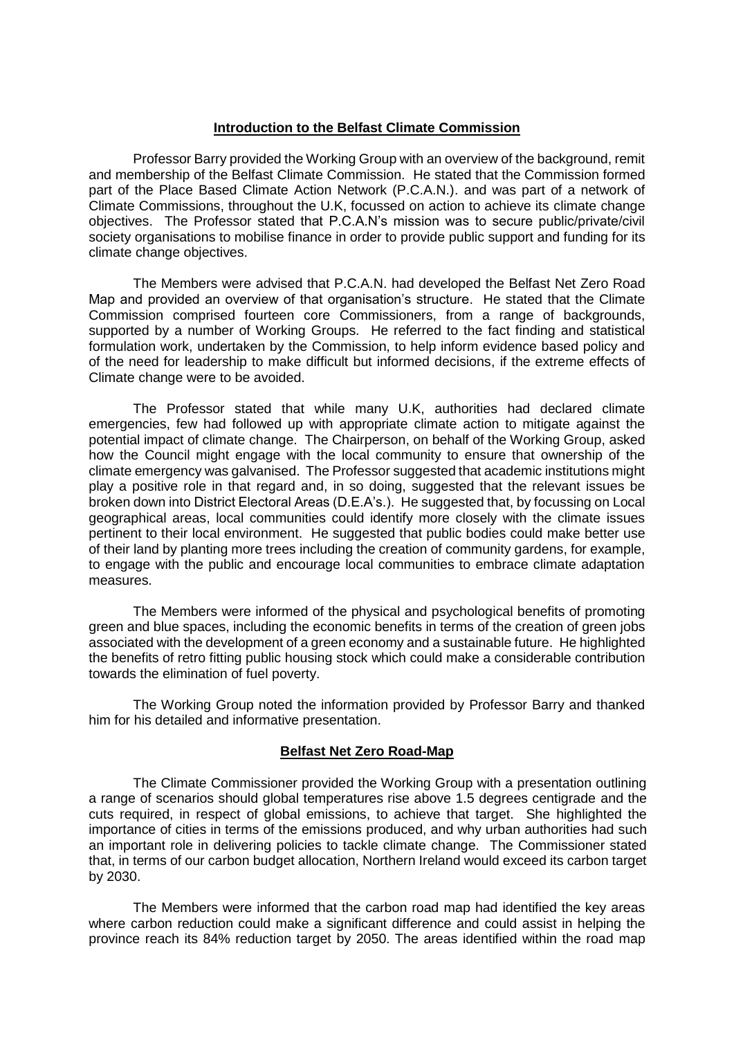### **Introduction to the Belfast Climate Commission**

Professor Barry provided the Working Group with an overview of the background, remit and membership of the Belfast Climate Commission. He stated that the Commission formed part of the Place Based Climate Action Network (P.C.A.N.). and was part of a network of Climate Commissions, throughout the U.K, focussed on action to achieve its climate change objectives. The Professor stated that P.C.A.N's mission was to secure public/private/civil society organisations to mobilise finance in order to provide public support and funding for its climate change objectives.

The Members were advised that P.C.A.N. had developed the Belfast Net Zero Road Map and provided an overview of that organisation's structure. He stated that the Climate Commission comprised fourteen core Commissioners, from a range of backgrounds, supported by a number of Working Groups. He referred to the fact finding and statistical formulation work, undertaken by the Commission, to help inform evidence based policy and of the need for leadership to make difficult but informed decisions, if the extreme effects of Climate change were to be avoided.

The Professor stated that while many U.K, authorities had declared climate emergencies, few had followed up with appropriate climate action to mitigate against the potential impact of climate change. The Chairperson, on behalf of the Working Group, asked how the Council might engage with the local community to ensure that ownership of the climate emergency was galvanised. The Professor suggested that academic institutions might play a positive role in that regard and, in so doing, suggested that the relevant issues be broken down into District Electoral Areas (D.E.A's.). He suggested that, by focussing on Local geographical areas, local communities could identify more closely with the climate issues pertinent to their local environment. He suggested that public bodies could make better use of their land by planting more trees including the creation of community gardens, for example, to engage with the public and encourage local communities to embrace climate adaptation measures.

The Members were informed of the physical and psychological benefits of promoting green and blue spaces, including the economic benefits in terms of the creation of green jobs associated with the development of a green economy and a sustainable future. He highlighted the benefits of retro fitting public housing stock which could make a considerable contribution towards the elimination of fuel poverty.

The Working Group noted the information provided by Professor Barry and thanked him for his detailed and informative presentation.

### **Belfast Net Zero Road-Map**

The Climate Commissioner provided the Working Group with a presentation outlining a range of scenarios should global temperatures rise above 1.5 degrees centigrade and the cuts required, in respect of global emissions, to achieve that target. She highlighted the importance of cities in terms of the emissions produced, and why urban authorities had such an important role in delivering policies to tackle climate change. The Commissioner stated that, in terms of our carbon budget allocation, Northern Ireland would exceed its carbon target by 2030.

The Members were informed that the carbon road map had identified the key areas where carbon reduction could make a significant difference and could assist in helping the province reach its 84% reduction target by 2050. The areas identified within the road map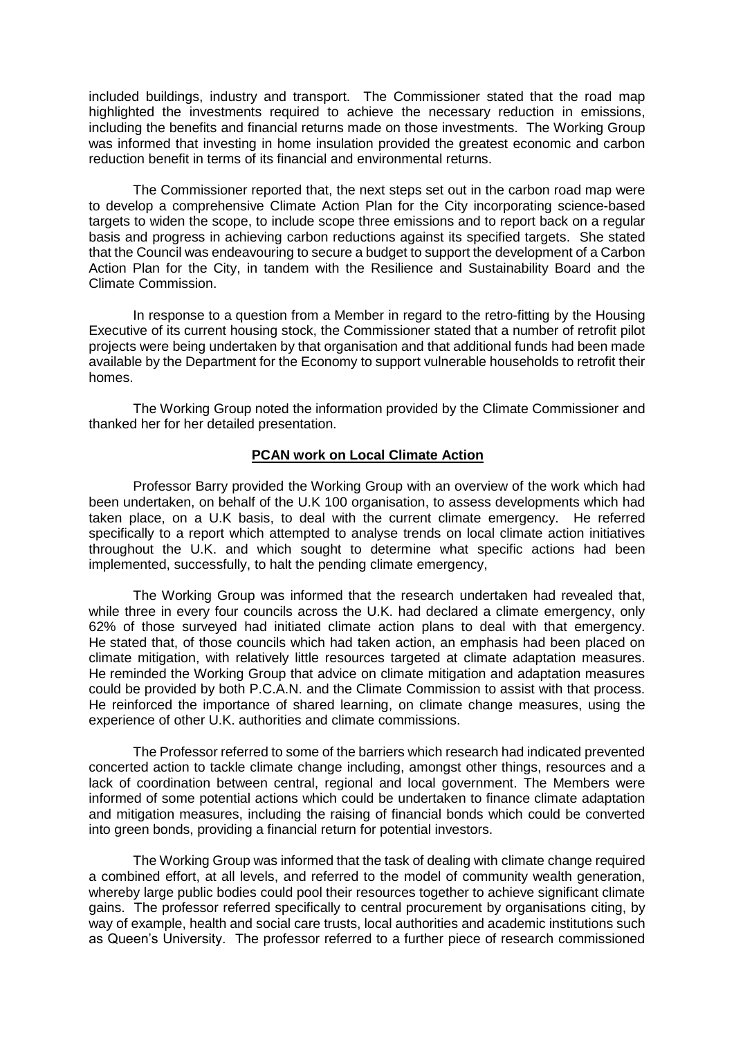included buildings, industry and transport. The Commissioner stated that the road map highlighted the investments required to achieve the necessary reduction in emissions, including the benefits and financial returns made on those investments. The Working Group was informed that investing in home insulation provided the greatest economic and carbon reduction benefit in terms of its financial and environmental returns.

The Commissioner reported that, the next steps set out in the carbon road map were to develop a comprehensive Climate Action Plan for the City incorporating science-based targets to widen the scope, to include scope three emissions and to report back on a regular basis and progress in achieving carbon reductions against its specified targets. She stated that the Council was endeavouring to secure a budget to support the development of a Carbon Action Plan for the City, in tandem with the Resilience and Sustainability Board and the Climate Commission.

In response to a question from a Member in regard to the retro-fitting by the Housing Executive of its current housing stock, the Commissioner stated that a number of retrofit pilot projects were being undertaken by that organisation and that additional funds had been made available by the Department for the Economy to support vulnerable households to retrofit their homes.

The Working Group noted the information provided by the Climate Commissioner and thanked her for her detailed presentation.

### **PCAN work on Local Climate Action**

Professor Barry provided the Working Group with an overview of the work which had been undertaken, on behalf of the U.K 100 organisation, to assess developments which had taken place, on a U.K basis, to deal with the current climate emergency. He referred specifically to a report which attempted to analyse trends on local climate action initiatives throughout the U.K. and which sought to determine what specific actions had been implemented, successfully, to halt the pending climate emergency,

The Working Group was informed that the research undertaken had revealed that, while three in every four councils across the U.K. had declared a climate emergency, only 62% of those surveyed had initiated climate action plans to deal with that emergency. He stated that, of those councils which had taken action, an emphasis had been placed on climate mitigation, with relatively little resources targeted at climate adaptation measures. He reminded the Working Group that advice on climate mitigation and adaptation measures could be provided by both P.C.A.N. and the Climate Commission to assist with that process. He reinforced the importance of shared learning, on climate change measures, using the experience of other U.K. authorities and climate commissions.

The Professor referred to some of the barriers which research had indicated prevented concerted action to tackle climate change including, amongst other things, resources and a lack of coordination between central, regional and local government. The Members were informed of some potential actions which could be undertaken to finance climate adaptation and mitigation measures, including the raising of financial bonds which could be converted into green bonds, providing a financial return for potential investors.

The Working Group was informed that the task of dealing with climate change required a combined effort, at all levels, and referred to the model of community wealth generation, whereby large public bodies could pool their resources together to achieve significant climate gains. The professor referred specifically to central procurement by organisations citing, by way of example, health and social care trusts, local authorities and academic institutions such as Queen's University. The professor referred to a further piece of research commissioned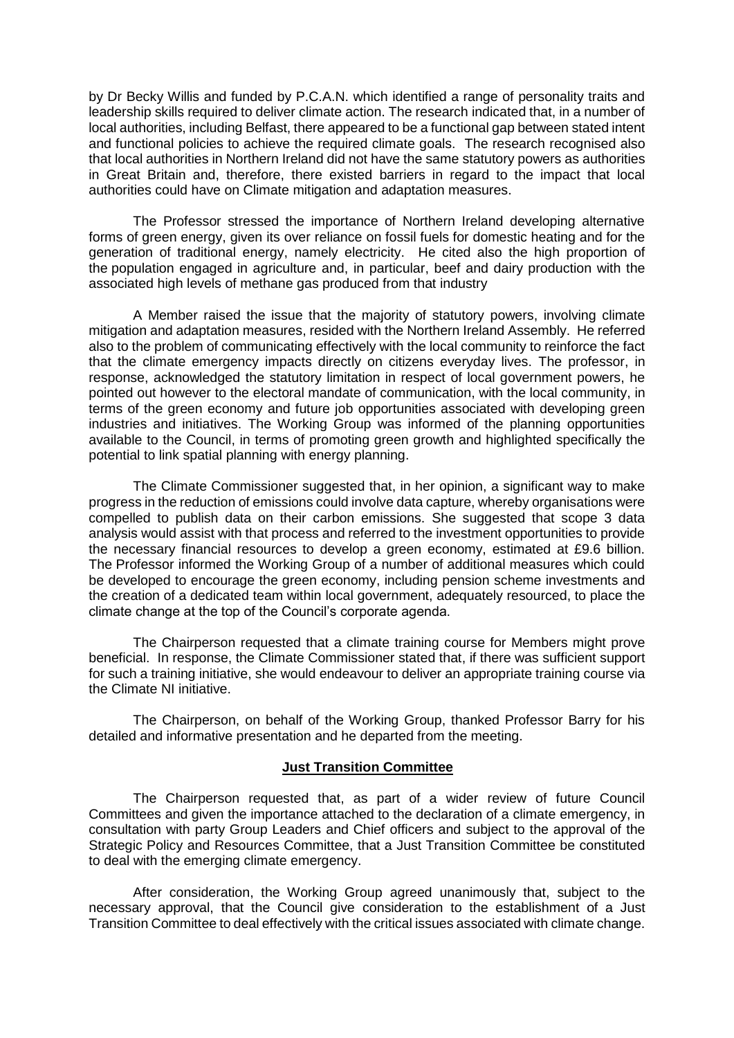by Dr Becky Willis and funded by P.C.A.N. which identified a range of personality traits and leadership skills required to deliver climate action. The research indicated that, in a number of local authorities, including Belfast, there appeared to be a functional gap between stated intent and functional policies to achieve the required climate goals. The research recognised also that local authorities in Northern Ireland did not have the same statutory powers as authorities in Great Britain and, therefore, there existed barriers in regard to the impact that local authorities could have on Climate mitigation and adaptation measures.

The Professor stressed the importance of Northern Ireland developing alternative forms of green energy, given its over reliance on fossil fuels for domestic heating and for the generation of traditional energy, namely electricity. He cited also the high proportion of the population engaged in agriculture and, in particular, beef and dairy production with the associated high levels of methane gas produced from that industry

A Member raised the issue that the majority of statutory powers, involving climate mitigation and adaptation measures, resided with the Northern Ireland Assembly. He referred also to the problem of communicating effectively with the local community to reinforce the fact that the climate emergency impacts directly on citizens everyday lives. The professor, in response, acknowledged the statutory limitation in respect of local government powers, he pointed out however to the electoral mandate of communication, with the local community, in terms of the green economy and future job opportunities associated with developing green industries and initiatives. The Working Group was informed of the planning opportunities available to the Council, in terms of promoting green growth and highlighted specifically the potential to link spatial planning with energy planning.

The Climate Commissioner suggested that, in her opinion, a significant way to make progress in the reduction of emissions could involve data capture, whereby organisations were compelled to publish data on their carbon emissions. She suggested that scope 3 data analysis would assist with that process and referred to the investment opportunities to provide the necessary financial resources to develop a green economy, estimated at £9.6 billion. The Professor informed the Working Group of a number of additional measures which could be developed to encourage the green economy, including pension scheme investments and the creation of a dedicated team within local government, adequately resourced, to place the climate change at the top of the Council's corporate agenda.

The Chairperson requested that a climate training course for Members might prove beneficial. In response, the Climate Commissioner stated that, if there was sufficient support for such a training initiative, she would endeavour to deliver an appropriate training course via the Climate NI initiative.

The Chairperson, on behalf of the Working Group, thanked Professor Barry for his detailed and informative presentation and he departed from the meeting.

### **Just Transition Committee**

The Chairperson requested that, as part of a wider review of future Council Committees and given the importance attached to the declaration of a climate emergency, in consultation with party Group Leaders and Chief officers and subject to the approval of the Strategic Policy and Resources Committee, that a Just Transition Committee be constituted to deal with the emerging climate emergency.

After consideration, the Working Group agreed unanimously that, subject to the necessary approval, that the Council give consideration to the establishment of a Just Transition Committee to deal effectively with the critical issues associated with climate change.